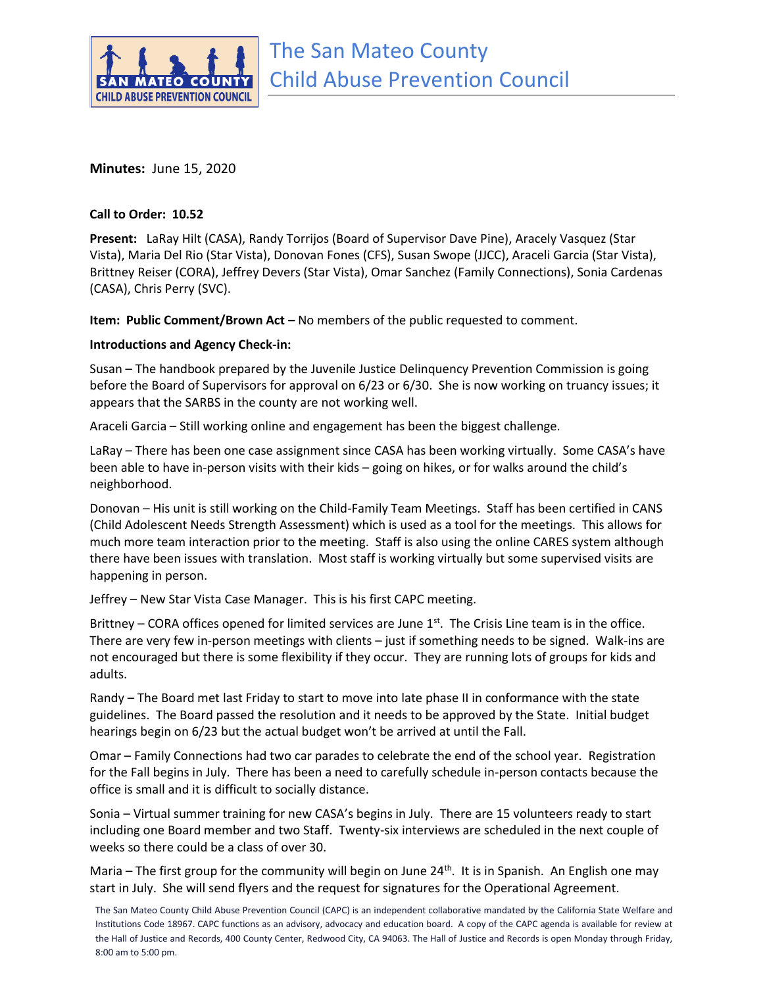

**Minutes:** June 15, 2020

## **Call to Order: 10.52**

**Present:** LaRay Hilt (CASA), Randy Torrijos (Board of Supervisor Dave Pine), Aracely Vasquez (Star Vista), Maria Del Rio (Star Vista), Donovan Fones (CFS), Susan Swope (JJCC), Araceli Garcia (Star Vista), Brittney Reiser (CORA), Jeffrey Devers (Star Vista), Omar Sanchez (Family Connections), Sonia Cardenas (CASA), Chris Perry (SVC).

**Item: Public Comment/Brown Act –** No members of the public requested to comment.

## **Introductions and Agency Check-in:**

Susan – The handbook prepared by the Juvenile Justice Delinquency Prevention Commission is going before the Board of Supervisors for approval on 6/23 or 6/30. She is now working on truancy issues; it appears that the SARBS in the county are not working well.

Araceli Garcia – Still working online and engagement has been the biggest challenge.

LaRay – There has been one case assignment since CASA has been working virtually. Some CASA's have been able to have in-person visits with their kids – going on hikes, or for walks around the child's neighborhood.

Donovan – His unit is still working on the Child-Family Team Meetings. Staff has been certified in CANS (Child Adolescent Needs Strength Assessment) which is used as a tool for the meetings. This allows for much more team interaction prior to the meeting. Staff is also using the online CARES system although there have been issues with translation. Most staff is working virtually but some supervised visits are happening in person.

Jeffrey – New Star Vista Case Manager. This is his first CAPC meeting.

Brittney – CORA offices opened for limited services are June  $1<sup>st</sup>$ . The Crisis Line team is in the office. There are very few in-person meetings with clients – just if something needs to be signed. Walk-ins are not encouraged but there is some flexibility if they occur. They are running lots of groups for kids and adults.

Randy – The Board met last Friday to start to move into late phase II in conformance with the state guidelines. The Board passed the resolution and it needs to be approved by the State. Initial budget hearings begin on 6/23 but the actual budget won't be arrived at until the Fall.

Omar – Family Connections had two car parades to celebrate the end of the school year. Registration for the Fall begins in July. There has been a need to carefully schedule in-person contacts because the office is small and it is difficult to socially distance.

Sonia – Virtual summer training for new CASA's begins in July. There are 15 volunteers ready to start including one Board member and two Staff. Twenty-six interviews are scheduled in the next couple of weeks so there could be a class of over 30.

Maria – The first group for the community will begin on June  $24<sup>th</sup>$ . It is in Spanish. An English one may start in July. She will send flyers and the request for signatures for the Operational Agreement.

The San Mateo County Child Abuse Prevention Council (CAPC) is an independent collaborative mandated by the California State Welfare and Institutions Code 18967. CAPC functions as an advisory, advocacy and education board. A copy of the CAPC agenda is available for review at the Hall of Justice and Records, 400 County Center, Redwood City, CA 94063. The Hall of Justice and Records is open Monday through Friday, 8:00 am to 5:00 pm.